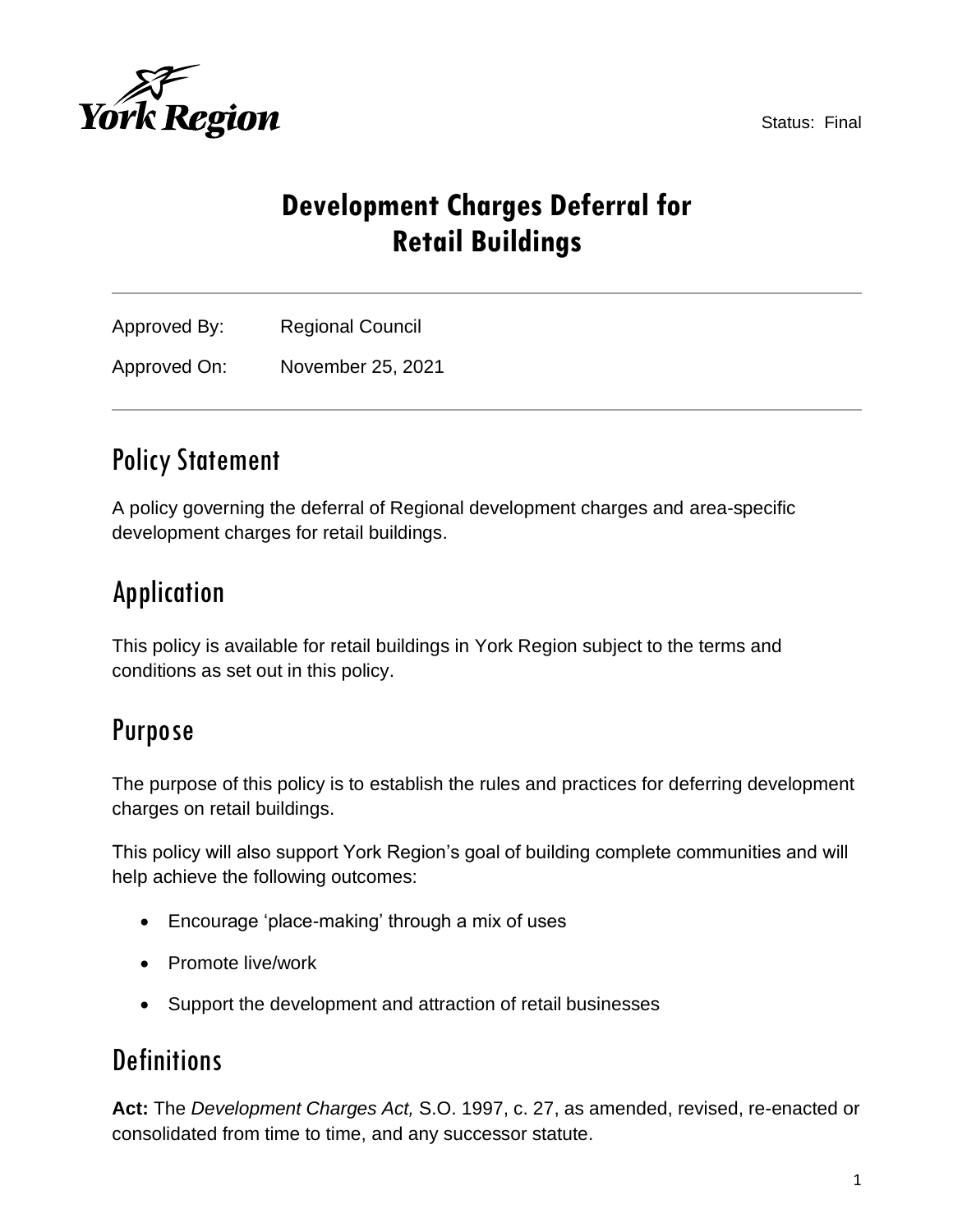

Status: Final

# **Development Charges Deferral for Retail Buildings**

Approved By: Regional Council Approved On: November 25, 2021

## Policy Statement

**York Region** 

A policy governing the deferral of Regional development charges and area-specific development charges for retail buildings.

# Application

This policy is available for retail buildings in York Region subject to the terms and conditions as set out in this policy.

### Purpose

The purpose of this policy is to establish the rules and practices for deferring development charges on retail buildings.

This policy will also support York Region's goal of building complete communities and will help achieve the following outcomes:

- Encourage 'place-making' through a mix of uses
- Promote live/work
- Support the development and attraction of retail businesses

### **Definitions**

**Act:** The *Development Charges Act,* S.O. 1997, c. 27, as amended, revised, re-enacted or consolidated from time to time, and any successor statute.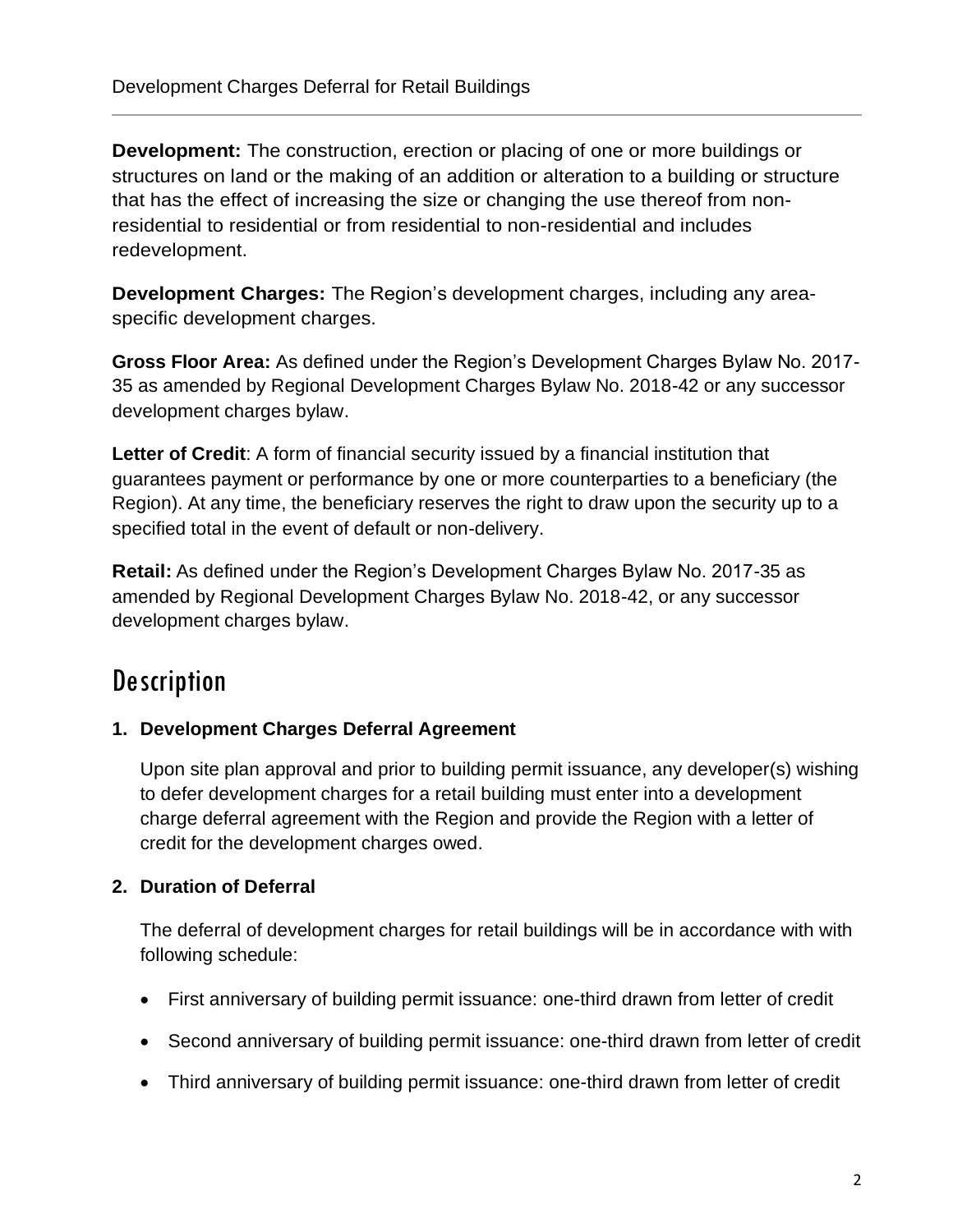**Development:** The construction, erection or placing of one or more buildings or structures on land or the making of an addition or alteration to a building or structure that has the effect of increasing the size or changing the use thereof from nonresidential to residential or from residential to non-residential and includes redevelopment.

**Development Charges:** The Region's development charges, including any areaspecific development charges.

**Gross Floor Area:** As defined under the Region's Development Charges Bylaw No. 2017- 35 as amended by Regional Development Charges Bylaw No. 2018-42 or any successor development charges bylaw.

Letter of Credit: A form of financial security issued by a financial institution that guarantees payment or performance by one or more counterparties to a beneficiary (the Region). At any time, the beneficiary reserves the right to draw upon the security up to a specified total in the event of default or non-delivery.

**Retail:** As defined under the Region's Development Charges Bylaw No. 2017-35 as amended by Regional Development Charges Bylaw No. 2018-42, or any successor development charges bylaw.

### **Description**

### **1. Development Charges Deferral Agreement**

Upon site plan approval and prior to building permit issuance, any developer(s) wishing to defer development charges for a retail building must enter into a development charge deferral agreement with the Region and provide the Region with a letter of credit for the development charges owed.

#### **2. Duration of Deferral**

The deferral of development charges for retail buildings will be in accordance with with following schedule:

- First anniversary of building permit issuance: one-third drawn from letter of credit
- Second anniversary of building permit issuance: one-third drawn from letter of credit
- Third anniversary of building permit issuance: one-third drawn from letter of credit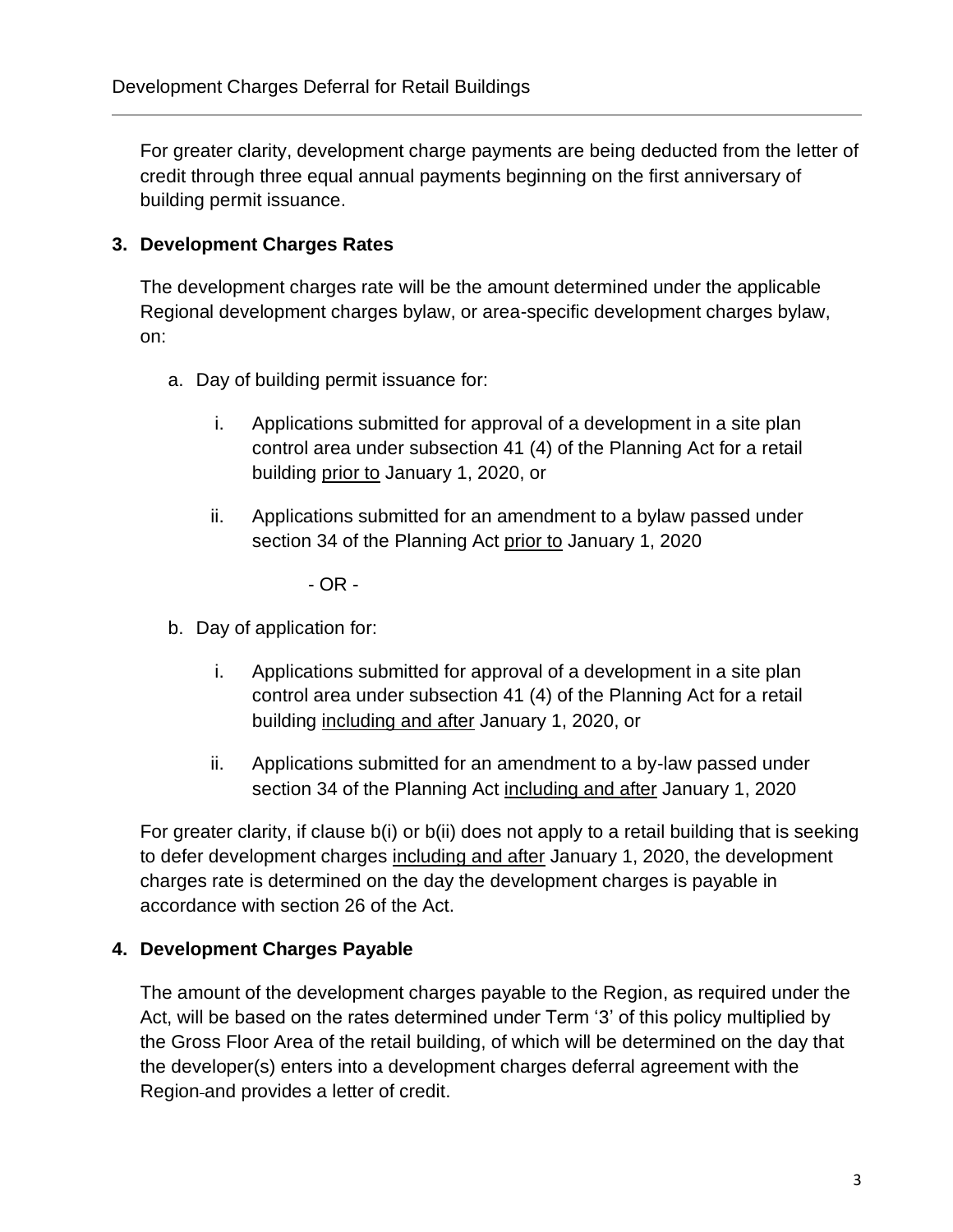For greater clarity, development charge payments are being deducted from the letter of credit through three equal annual payments beginning on the first anniversary of building permit issuance.

#### **3. Development Charges Rates**

The development charges rate will be the amount determined under the applicable Regional development charges bylaw, or area-specific development charges bylaw, on:

- a. Day of building permit issuance for:
	- i. Applications submitted for approval of a development in a site plan control area under subsection 41 (4) of the Planning Act for a retail building prior to January 1, 2020, or
	- ii. Applications submitted for an amendment to a bylaw passed under section 34 of the Planning Act prior to January 1, 2020

- OR -

- b. Day of application for:
	- i. Applications submitted for approval of a development in a site plan control area under subsection 41 (4) of the Planning Act for a retail building including and after January 1, 2020, or
	- ii. Applications submitted for an amendment to a by-law passed under section 34 of the Planning Act including and after January 1, 2020

For greater clarity, if clause b(i) or b(ii) does not apply to a retail building that is seeking to defer development charges including and after January 1, 2020, the development charges rate is determined on the day the development charges is payable in accordance with section 26 of the Act.

#### **4. Development Charges Payable**

The amount of the development charges payable to the Region, as required under the Act, will be based on the rates determined under Term '3' of this policy multiplied by the Gross Floor Area of the retail building, of which will be determined on the day that the developer(s) enters into a development charges deferral agreement with the Region and provides a letter of credit.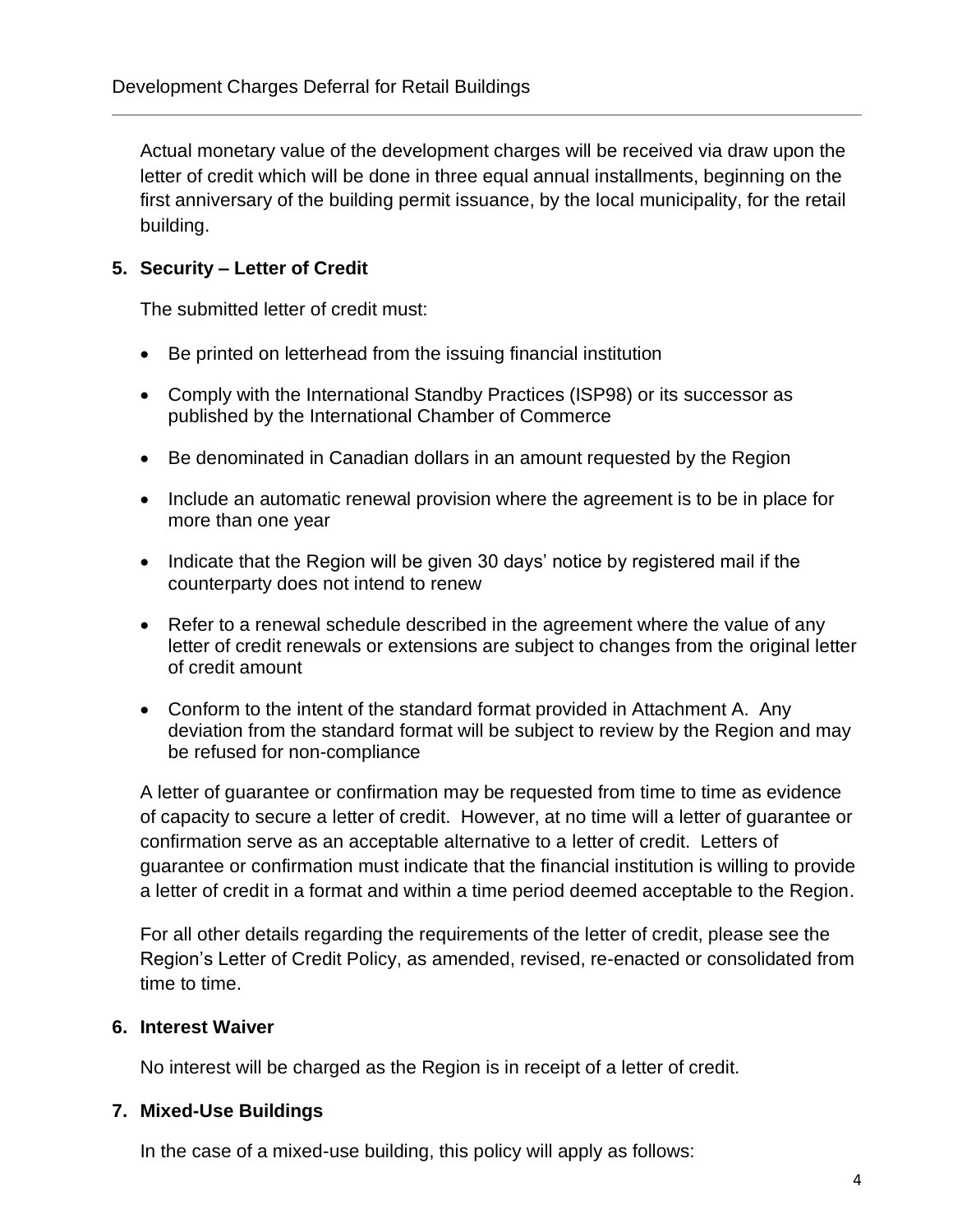Actual monetary value of the development charges will be received via draw upon the letter of credit which will be done in three equal annual installments, beginning on the first anniversary of the building permit issuance, by the local municipality, for the retail building.

#### **5. Security – Letter of Credit**

The submitted letter of credit must:

- Be printed on letterhead from the issuing financial institution
- Comply with the International Standby Practices (ISP98) or its successor as published by the International Chamber of Commerce
- Be denominated in Canadian dollars in an amount requested by the Region
- Include an automatic renewal provision where the agreement is to be in place for more than one year
- Indicate that the Region will be given 30 days' notice by registered mail if the counterparty does not intend to renew
- Refer to a renewal schedule described in the agreement where the value of any letter of credit renewals or extensions are subject to changes from the original letter of credit amount
- Conform to the intent of the standard format provided in Attachment A. Any deviation from the standard format will be subject to review by the Region and may be refused for non-compliance

A letter of guarantee or confirmation may be requested from time to time as evidence of capacity to secure a letter of credit. However, at no time will a letter of guarantee or confirmation serve as an acceptable alternative to a letter of credit. Letters of guarantee or confirmation must indicate that the financial institution is willing to provide a letter of credit in a format and within a time period deemed acceptable to the Region.

For all other details regarding the requirements of the letter of credit, please see the Region's Letter of Credit Policy, as amended, revised, re-enacted or consolidated from time to time.

#### **6. Interest Waiver**

No interest will be charged as the Region is in receipt of a letter of credit.

#### **7. Mixed-Use Buildings**

In the case of a mixed-use building, this policy will apply as follows: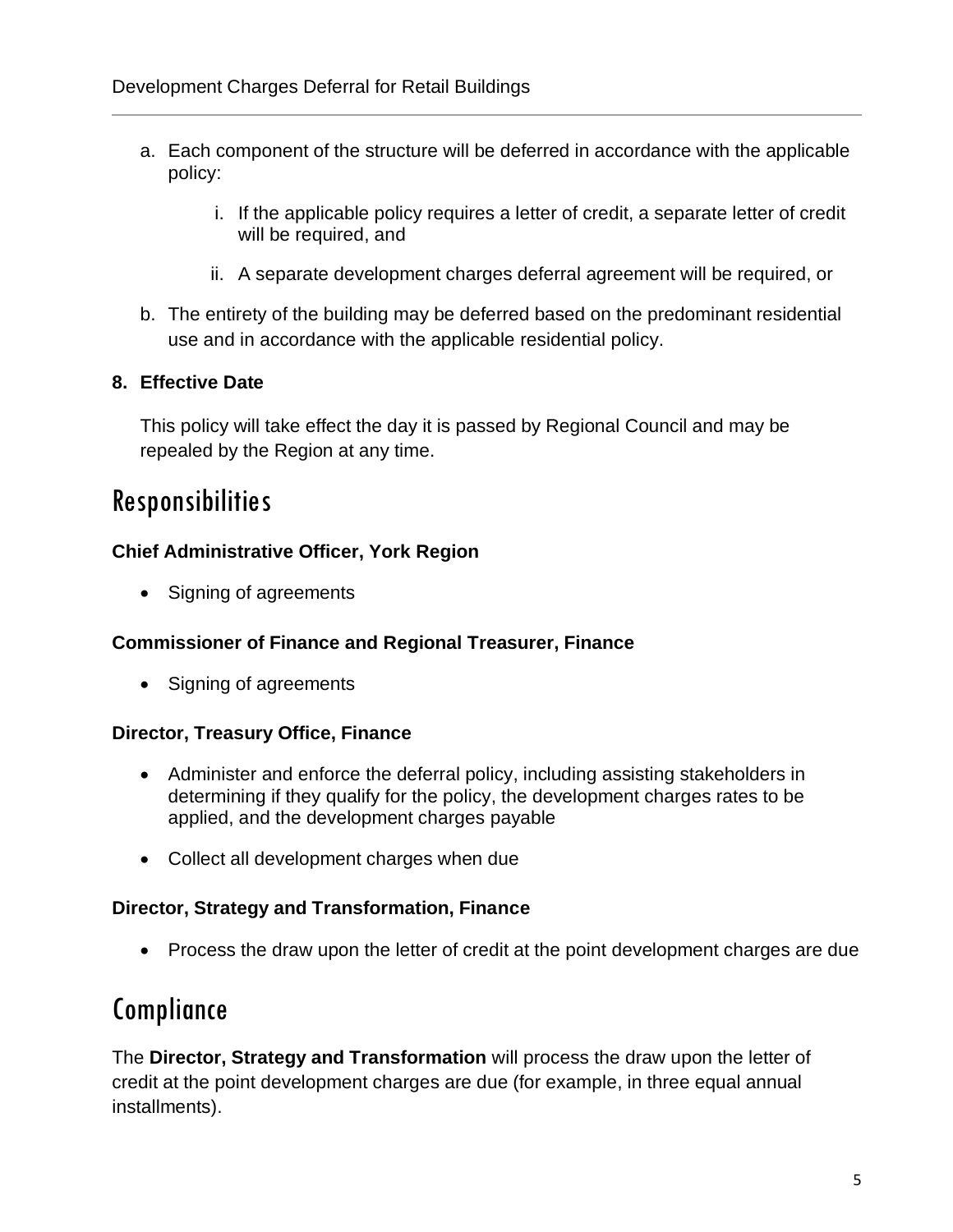- a. Each component of the structure will be deferred in accordance with the applicable policy:
	- i. If the applicable policy requires a letter of credit, a separate letter of credit will be required, and
	- ii. A separate development charges deferral agreement will be required, or
- b. The entirety of the building may be deferred based on the predominant residential use and in accordance with the applicable residential policy.

#### **8. Effective Date**

This policy will take effect the day it is passed by Regional Council and may be repealed by the Region at any time.

### Responsibilities

#### **Chief Administrative Officer, York Region**

• Signing of agreements

#### **Commissioner of Finance and Regional Treasurer, Finance**

• Signing of agreements

#### **Director, Treasury Office, Finance**

- Administer and enforce the deferral policy, including assisting stakeholders in determining if they qualify for the policy, the development charges rates to be applied, and the development charges payable
- Collect all development charges when due

#### **Director, Strategy and Transformation, Finance**

• Process the draw upon the letter of credit at the point development charges are due

### Compliance

The **Director, Strategy and Transformation** will process the draw upon the letter of credit at the point development charges are due (for example, in three equal annual installments).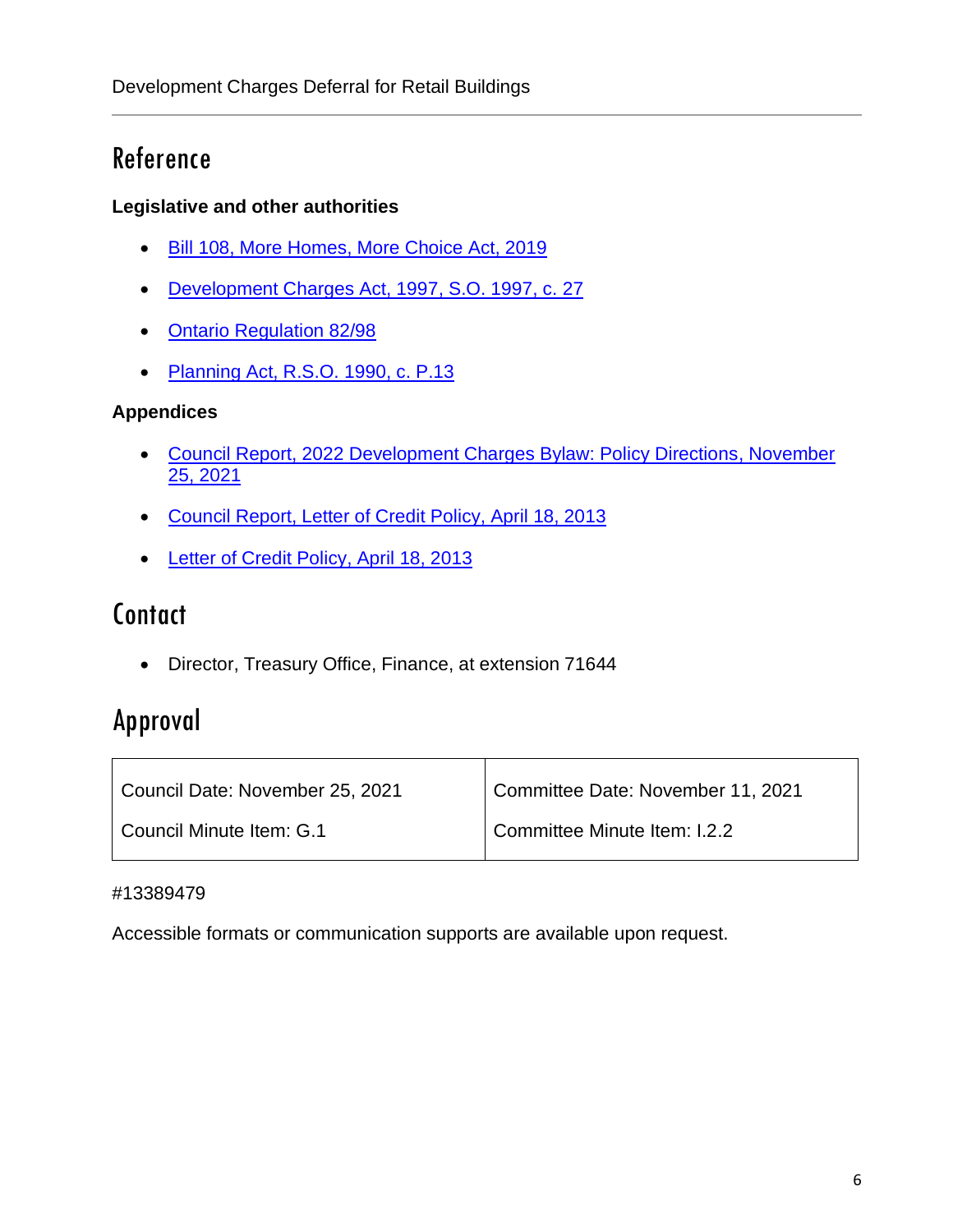### Reference

#### **Legislative and other authorities**

- [Bill 108, More Homes, More Choice Act, 2019](https://www.ola.org/en/legislative-business/bills/parliament-42/session-1/bill-108)
- [Development Charges Act, 1997,](https://www.ontario.ca/laws/statute/97d27) S.O. 1997, c. 27
- [Ontario Regulation 82/98](https://www.ontario.ca/laws/regulation/980082)
- [Planning Act, R.S.O. 1990, c. P.13](https://www.ontario.ca/laws/statute/90p13)

#### **Appendices**

- [Council Report, 2022 Development Charges Bylaw: Policy Directions, November](https://yorkpublishing.escribemeetings.com/Meeting.aspx?Id=228608f4-d57d-485a-a462-b12bec2e4b08&Agenda=PostMinutes&lang=English&Item=39&Tab=attachments)  [25, 2021](https://yorkpublishing.escribemeetings.com/Meeting.aspx?Id=228608f4-d57d-485a-a462-b12bec2e4b08&Agenda=PostMinutes&lang=English&Item=39&Tab=attachments)
- [Council Report, Letter of Credit Policy, April 18, 2013](http://archives.york.ca/councilcommitteearchives/pdf/rpt%204%20cls%201-3.pdf)
- [Letter of Credit Policy, April 18, 2013](https://www.york.ca/wps/wcm/connect/yorkpublic/5c62477a-2718-4c82-8dac-bfd42592f640/Letter+of+Credit+-+Finance+and+Administration.pdf?MOD=AJPERES)

### **Contact**

• Director, Treasury Office, Finance, at extension 71644

# Approval

| Council Date: November 25, 2021 | Committee Date: November 11, 2021 |
|---------------------------------|-----------------------------------|
| Council Minute Item: G.1        | Committee Minute Item: I.2.2      |

#### #13389479

Accessible formats or communication supports are available upon request.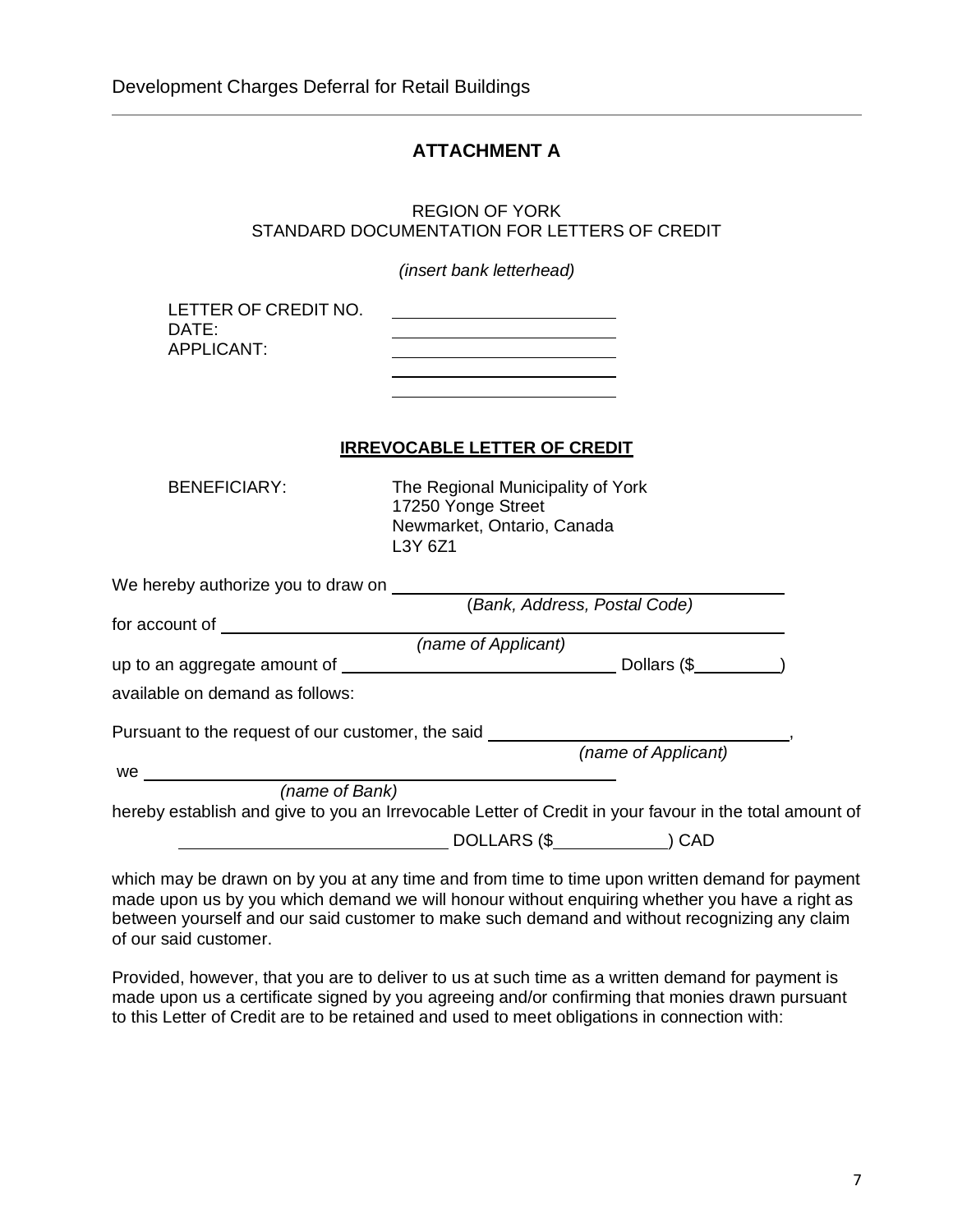#### **ATTACHMENT A**

REGION OF YORK STANDARD DOCUMENTATION FOR LETTERS OF CREDIT

*(insert bank letterhead)*

| LETTER OF CREDIT NO. |  |
|----------------------|--|
| $DATF^+$             |  |
| APPLICANT:           |  |
|                      |  |

#### **IRREVOCABLE LETTER OF CREDIT**

BENEFICIARY: The Regional Municipality of York 17250 Yonge Street Newmarket, Ontario, Canada L3Y 6Z1

| We hereby authorize you to draw on                |                                                                                                        |  |
|---------------------------------------------------|--------------------------------------------------------------------------------------------------------|--|
|                                                   | Bank, Address, Postal Code)                                                                            |  |
| for account of                                    |                                                                                                        |  |
|                                                   | (name of Applicant)                                                                                    |  |
| up to an aggregate amount of                      | Dollars (\$)                                                                                           |  |
| available on demand as follows:                   |                                                                                                        |  |
| Pursuant to the request of our customer, the said |                                                                                                        |  |
|                                                   | (name of Applicant)                                                                                    |  |
| we                                                |                                                                                                        |  |
| (name of Bank)                                    |                                                                                                        |  |
|                                                   | hereby establish and give to you an Irrevocable Letter of Credit in your favour in the total amount of |  |
|                                                   | DOLLARS (\$<br>CAD                                                                                     |  |

which may be drawn on by you at any time and from time to time upon written demand for payment made upon us by you which demand we will honour without enquiring whether you have a right as between yourself and our said customer to make such demand and without recognizing any claim of our said customer.

Provided, however, that you are to deliver to us at such time as a written demand for payment is made upon us a certificate signed by you agreeing and/or confirming that monies drawn pursuant to this Letter of Credit are to be retained and used to meet obligations in connection with: